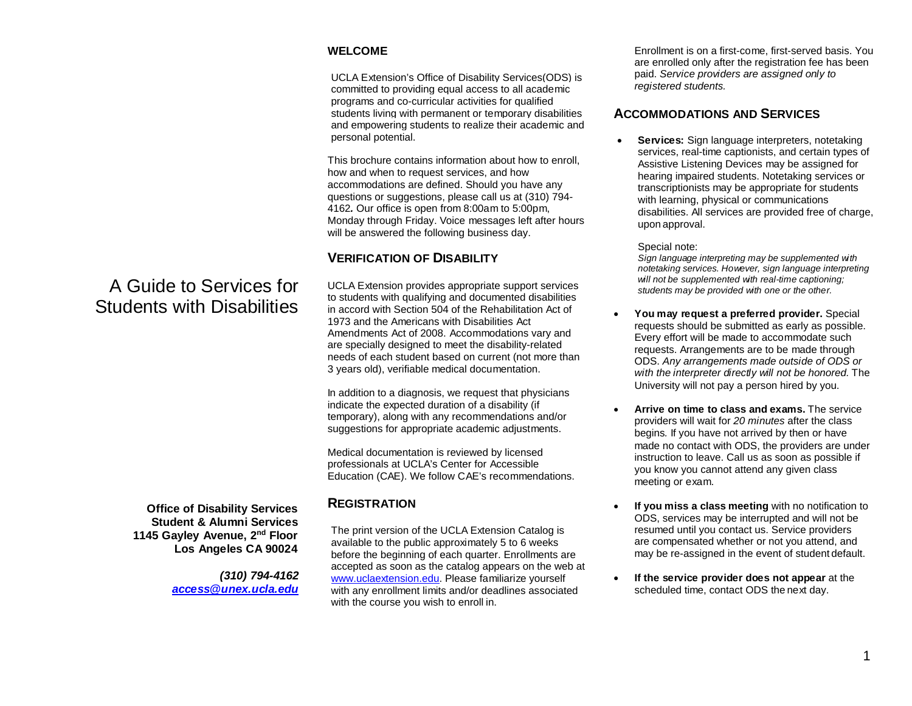#### **WELCOME**

UCLA Extension's Office of Disability Services(ODS) is committed to providing equal access to all academic programs and co-curricular activities for qualified students living with permanent or temporary disabilities and empowering students to realize their academic and personal potential.

This brochure contains information about how to enroll, how and when to request services, and how accommodations are defined. Should you have any questions or suggestions, please call us at (310) 794- 4162*.* Our office is open from 8:00am to 5:00pm, Monday through Friday. Voice messages left after hours will be answered the following business day.

## **VERIFICATION OF DISABILITY**

UCLA Extension provides appropriate support services to students with qualifying and documented disabilities in accord with Section 504 of the Rehabilitation Act of 1973 and the Americans with Disabilities Act Amendments Act of 2008. Accommodations vary and are specially designed to meet the disability-related needs of each student based on current (not more than 3 years old), verifiable medical documentation.

In addition to a diagnosis, we request that physicians indicate the expected duration of a disability (if temporary), along with any recommendations and/or suggestions for appropriate academic adjustments.

Medical documentation is reviewed by licensed professionals at UCLA's Center for Accessible Education (CAE). We follow CAE's recommendations.

## **REGISTRATION**

The print version of the UCLA Extension Catalog is available to the public approximately 5 to 6 weeks before the beginning of each quarter. Enrollments are accepted as soon as the catalog appears on the web at [www.uclaextension.edu.](http://www.uclaextension.edu/) Please familiarize yourself with any enrollment limits and/or deadlines associated with the course you wish to enroll in.

Enrollment is on a first-come, first-served basis. You are enrolled only after the registration fee has been paid. *Service providers are assigned only to registered students.*

## **ACCOMMODATIONS AND SERVICES**

**Services:** Sign language interpreters, notetaking services, real-time captionists, and certain types of Assistive Listening Devices may be assigned for hearing impaired students. Notetaking services or transcriptionists may be appropriate for students with learning, physical or communications disabilities. All services are provided free of charge, upon approval.

Special note:

*Sign language interpreting may be supplemented with notetaking services. However, sign language interpreting will not be supplemented with real-time captioning; students may be provided with one or the other.*

- **You may request a preferred provider.** Special requests should be submitted as early as possible. Every effort will be made to accommodate such requests. Arrangements are to be made through ODS. *Any arrangements made outside of ODS or with the interpreter directly will not be honored.* The University will not pay a person hired by you.
- **Arrive on time to class and exams.** The service providers will wait for *20 minutes* after the class begins*.* If you have not arrived by then or have made no contact with ODS, the providers are under instruction to leave. Call us as soon as possible if you know you cannot attend any given class meeting or exam.
- **If you miss a class meeting** with no notification to ODS, services may be interrupted and will not be resumed until you contact us. Service providers are compensated whether or not you attend, and may be re-assigned in the event of student default.
- **If the service provider does not appear** at the scheduled time, contact ODS the next day.

# A Guide to Services for Students with Disabilities

**Office of Disability Services Student & Alumni Services 1145 Gayley Avenue, 2nd Floor Los Angeles CA 90024**

> *(310) 794-4162 [access@unex.ucla.edu](mailto:access@unex.ucla.edu)*